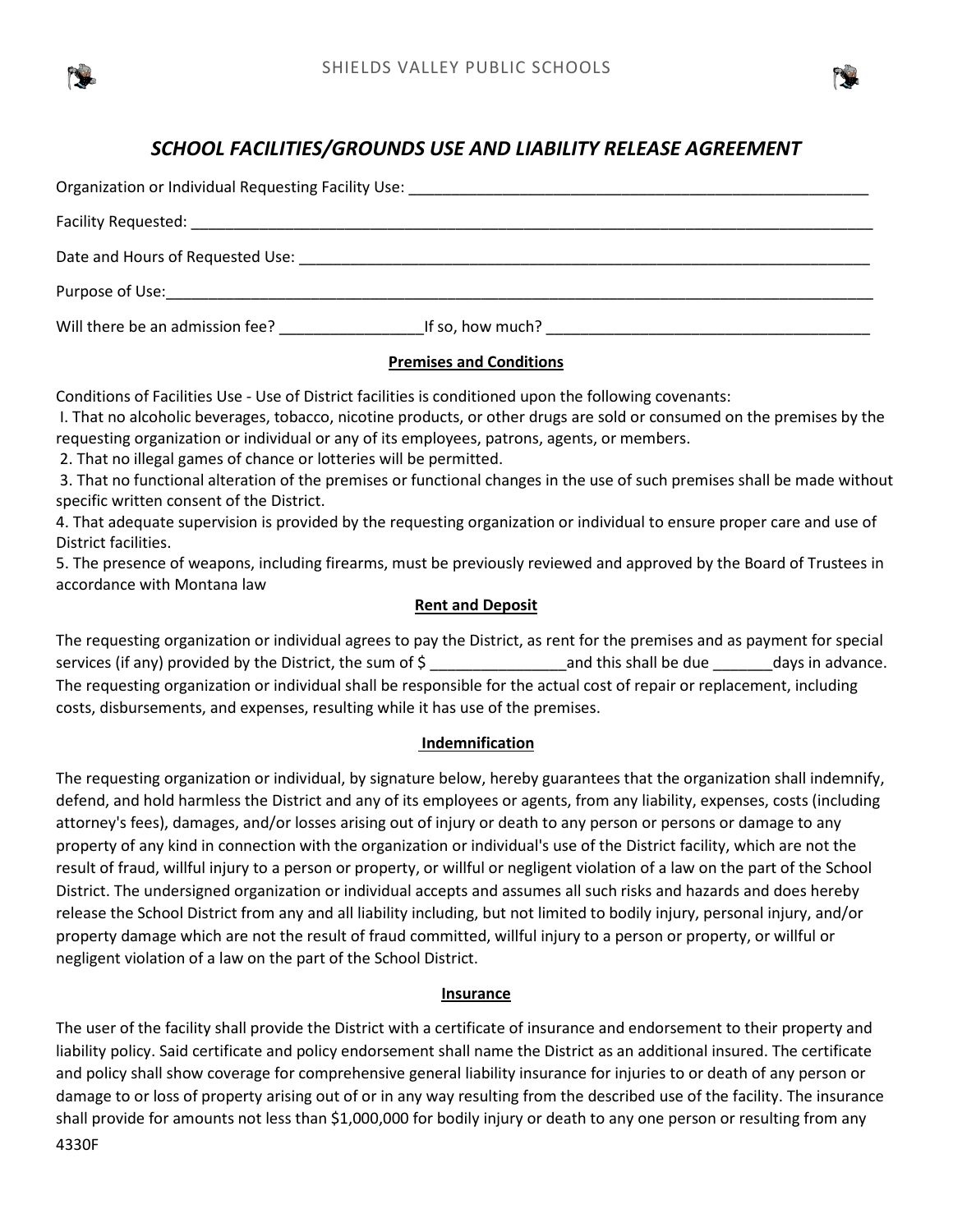

# *SCHOOL FACILITIES/GROUNDS USE AND LIABILITY RELEASE AGREEMENT*

| Date and Hours of Requested Use: National Assembly Pate and Hours of Requested Use: |  |  |
|-------------------------------------------------------------------------------------|--|--|
|                                                                                     |  |  |
| Will there be an admission fee?<br>If so, how much? $\blacksquare$                  |  |  |

# **Premises and Conditions**

Conditions of Facilities Use - Use of District facilities is conditioned upon the following covenants:

I. That no alcoholic beverages, tobacco, nicotine products, or other drugs are sold or consumed on the premises by the requesting organization or individual or any of its employees, patrons, agents, or members.

2. That no illegal games of chance or lotteries will be permitted.

3. That no functional alteration of the premises or functional changes in the use of such premises shall be made without specific written consent of the District.

4. That adequate supervision is provided by the requesting organization or individual to ensure proper care and use of District facilities.

5. The presence of weapons, including firearms, must be previously reviewed and approved by the Board of Trustees in accordance with Montana law

### **Rent and Deposit**

The requesting organization or individual agrees to pay the District, as rent for the premises and as payment for special services (if any) provided by the District, the sum of  $\zeta$  and this shall be due days in advance. The requesting organization or individual shall be responsible for the actual cost of repair or replacement, including costs, disbursements, and expenses, resulting while it has use of the premises.

### **Indemnification**

The requesting organization or individual, by signature below, hereby guarantees that the organization shall indemnify, defend, and hold harmless the District and any of its employees or agents, from any liability, expenses, costs (including attorney's fees), damages, and/or losses arising out of injury or death to any person or persons or damage to any property of any kind in connection with the organization or individual's use of the District facility, which are not the result of fraud, willful injury to a person or property, or willful or negligent violation of a law on the part of the School District. The undersigned organization or individual accepts and assumes all such risks and hazards and does hereby release the School District from any and all liability including, but not limited to bodily injury, personal injury, and/or property damage which are not the result of fraud committed, willful injury to a person or property, or willful or negligent violation of a law on the part of the School District.

### **Insurance**

4330F The user of the facility shall provide the District with a certificate of insurance and endorsement to their property and liability policy. Said certificate and policy endorsement shall name the District as an additional insured. The certificate and policy shall show coverage for comprehensive general liability insurance for injuries to or death of any person or damage to or loss of property arising out of or in any way resulting from the described use of the facility. The insurance shall provide for amounts not less than \$1,000,000 for bodily injury or death to any one person or resulting from any